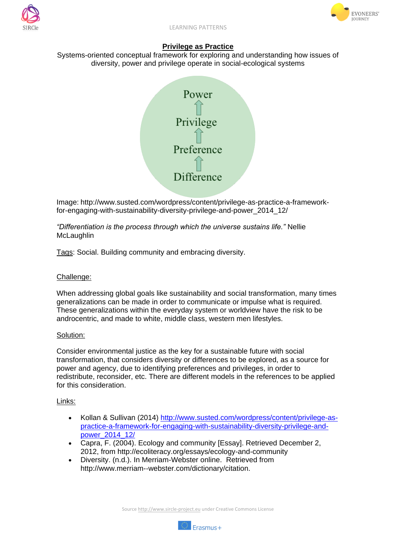



# **Privilege as Practice**

Systems-oriented conceptual framework for exploring and understanding how issues of diversity, power and privilege operate in social-ecological systems



Image: http://www.susted.com/wordpress/content/privilege-as-practice-a-frameworkfor-engaging-with-sustainability-diversity-privilege-and-power\_2014\_12/

*"Differentiation is the process through which the universe sustains life."* Nellie **McLaughlin** 

Tags: Social. Building community and embracing diversity.

## Challenge:

When addressing global goals like sustainability and social transformation, many times generalizations can be made in order to communicate or impulse what is required. These generalizations within the everyday system or worldview have the risk to be androcentric, and made to white, middle class, western men lifestyles.

### Solution:

Consider environmental justice as the key for a sustainable future with social transformation, that considers diversity or differences to be explored, as a source for power and agency, due to identifying preferences and privileges, in order to redistribute, reconsider, etc. There are different models in the references to be applied for this consideration.

### Links:

- Kollan & Sullivan (2014) [http://www.susted.com/wordpress/content/privilege-as](http://www.susted.com/wordpress/content/privilege-as-practice-a-framework-for-engaging-with-sustainability-diversity-privilege-and-power_2014_12/)[practice-a-framework-for-engaging-with-sustainability-diversity-privilege-and](http://www.susted.com/wordpress/content/privilege-as-practice-a-framework-for-engaging-with-sustainability-diversity-privilege-and-power_2014_12/)[power\\_2014\\_12/](http://www.susted.com/wordpress/content/privilege-as-practice-a-framework-for-engaging-with-sustainability-diversity-privilege-and-power_2014_12/)
- Capra, F. (2004). Ecology and community [Essay]. Retrieved December 2, 2012, from http://ecoliteracy.org/essays/ecology-and-community
- Diversity. (n.d.). In Merriam-Webster online. Retrieved from http://www.merriam-‐webster.com/dictionary/citation.

Source http://www.sircle-project.eu under Creative Commons License